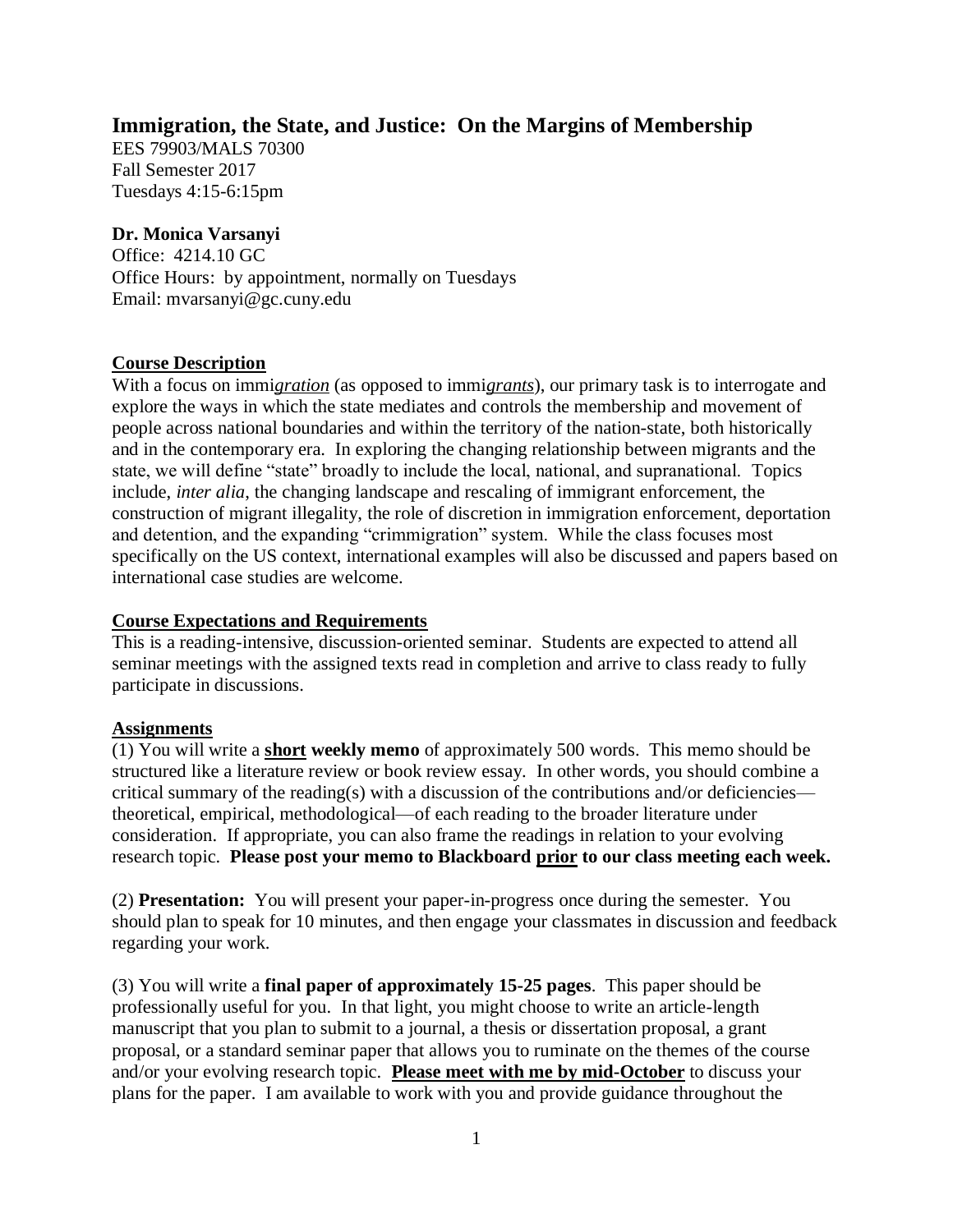# **Immigration, the State, and Justice: On the Margins of Membership**

EES 79903/MALS 70300 Fall Semester 2017 Tuesdays 4:15-6:15pm

## **Dr. Monica Varsanyi**

Office: 4214.10 GC Office Hours: by appointment, normally on Tuesdays Email: mvarsanyi@gc.cuny.edu

# **Course Description**

With a focus on immi*gration* (as opposed to immi*grants*), our primary task is to interrogate and explore the ways in which the state mediates and controls the membership and movement of people across national boundaries and within the territory of the nation-state, both historically and in the contemporary era. In exploring the changing relationship between migrants and the state, we will define "state" broadly to include the local, national, and supranational. Topics include, *inter alia*, the changing landscape and rescaling of immigrant enforcement, the construction of migrant illegality, the role of discretion in immigration enforcement, deportation and detention, and the expanding "crimmigration" system. While the class focuses most specifically on the US context, international examples will also be discussed and papers based on international case studies are welcome.

## **Course Expectations and Requirements**

This is a reading-intensive, discussion-oriented seminar. Students are expected to attend all seminar meetings with the assigned texts read in completion and arrive to class ready to fully participate in discussions.

### **Assignments**

(1) You will write a **short weekly memo** of approximately 500 words. This memo should be structured like a literature review or book review essay. In other words, you should combine a critical summary of the reading(s) with a discussion of the contributions and/or deficiencies theoretical, empirical, methodological—of each reading to the broader literature under consideration. If appropriate, you can also frame the readings in relation to your evolving research topic. **Please post your memo to Blackboard prior to our class meeting each week.**

(2) **Presentation:** You will present your paper-in-progress once during the semester. You should plan to speak for 10 minutes, and then engage your classmates in discussion and feedback regarding your work.

(3) You will write a **final paper of approximately 15-25 pages**. This paper should be professionally useful for you. In that light, you might choose to write an article-length manuscript that you plan to submit to a journal, a thesis or dissertation proposal, a grant proposal, or a standard seminar paper that allows you to ruminate on the themes of the course and/or your evolving research topic. **Please meet with me by mid-October** to discuss your plans for the paper. I am available to work with you and provide guidance throughout the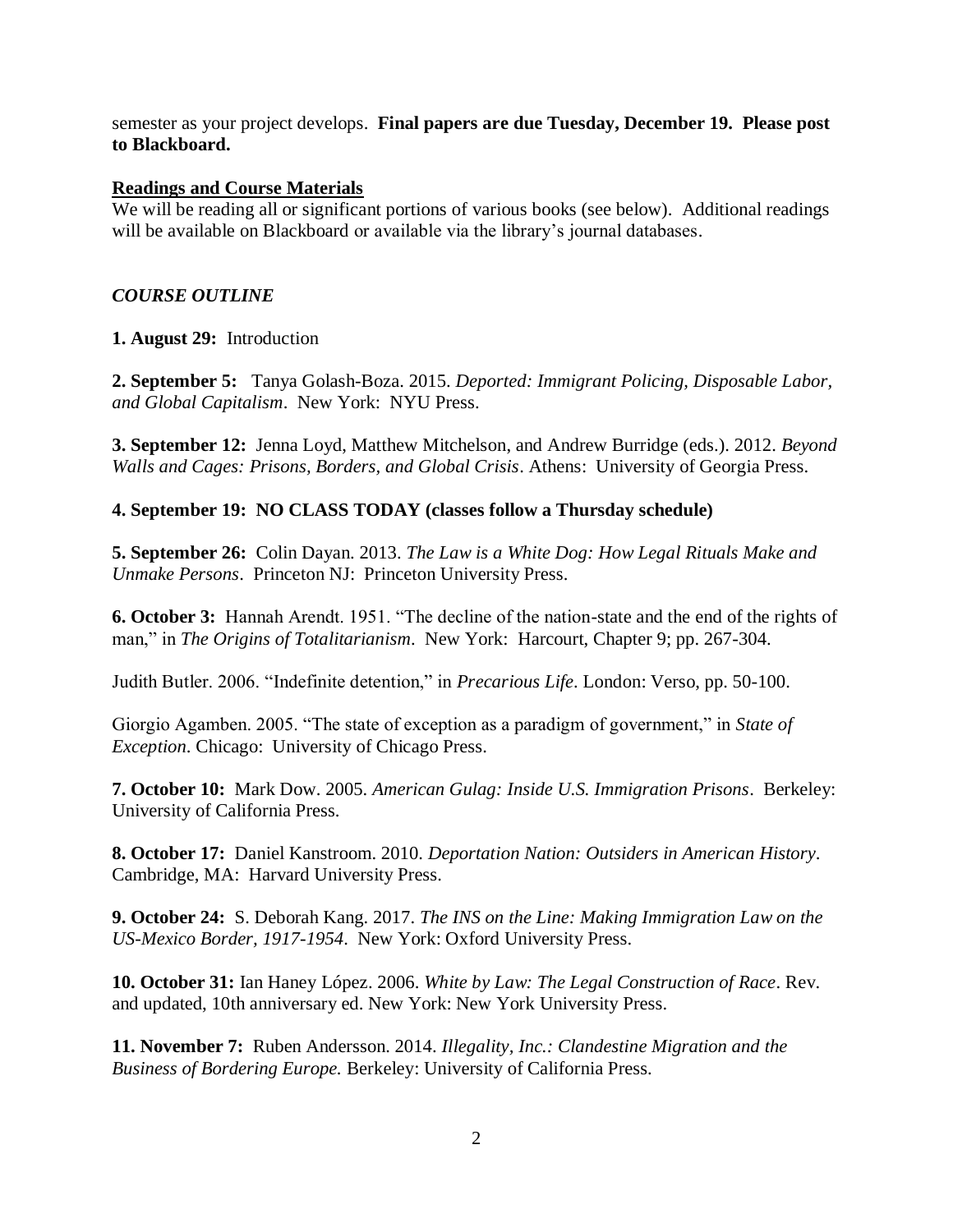semester as your project develops. **Final papers are due Tuesday, December 19. Please post to Blackboard.**

#### **Readings and Course Materials**

We will be reading all or significant portions of various books (see below). Additional readings will be available on Blackboard or available via the library's journal databases.

## *COURSE OUTLINE*

### **1. August 29:** Introduction

**2. September 5:** Tanya Golash-Boza. 2015. *Deported: Immigrant Policing, Disposable Labor, and Global Capitalism*. New York: NYU Press.

**3. September 12:** Jenna Loyd, Matthew Mitchelson, and Andrew Burridge (eds.). 2012. *Beyond Walls and Cages: Prisons, Borders, and Global Crisis*. Athens: University of Georgia Press.

### **4. September 19: NO CLASS TODAY (classes follow a Thursday schedule)**

**5. September 26:** Colin Dayan. 2013. *The Law is a White Dog: How Legal Rituals Make and Unmake Persons*. Princeton NJ: Princeton University Press.

**6. October 3:** Hannah Arendt. 1951. "The decline of the nation-state and the end of the rights of man," in *The Origins of Totalitarianism*. New York: Harcourt, Chapter 9; pp. 267-304.

Judith Butler. 2006. "Indefinite detention," in *Precarious Life*. London: Verso, pp. 50-100.

Giorgio Agamben. 2005. "The state of exception as a paradigm of government," in *State of Exception*. Chicago: University of Chicago Press.

**7. October 10:** Mark Dow. 2005. *American Gulag: Inside U.S. Immigration Prisons*. Berkeley: University of California Press.

**8. October 17:** Daniel Kanstroom. 2010. *Deportation Nation: Outsiders in American History*. Cambridge, MA: Harvard University Press.

**9. October 24:** S. Deborah Kang. 2017. *[The INS on the Line: Making Immigration Law on the](https://books.google.com/books?id=hv6SDQAAQBAJ&printsec=frontcover&source=gbs_ge_summary_r&cad=0#v=onepage&q&f=false)  [US-Mexico Border, 1917-1954](https://books.google.com/books?id=hv6SDQAAQBAJ&printsec=frontcover&source=gbs_ge_summary_r&cad=0#v=onepage&q&f=false)*. New York: Oxford University Press.

**10. October 31:** Ian Haney López. 2006. *White by Law: The Legal Construction of Race*. Rev. and updated, 10th anniversary ed. New York: New York University Press.

**11. November 7:** Ruben Andersson. 2014. *Illegality, Inc.: Clandestine Migration and the Business of Bordering Europe.* Berkeley: University of California Press.